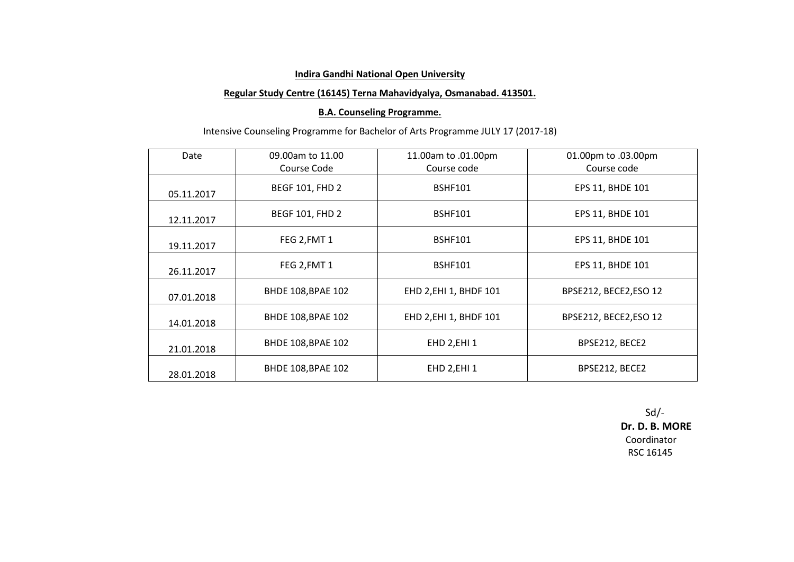## **Regular Study Centre (16145) Terna Mahavidyalya, Osmanabad. 413501.**

## **B.A. Counseling Programme.**

# Intensive Counseling Programme for Bachelor of Arts Programme JULY 17 (2017-18)

| Date       | 09.00am to 11.00          | 11.00am to .01.00pm    | 01.00pm to .03.00pm   |
|------------|---------------------------|------------------------|-----------------------|
|            | Course Code               | Course code            | Course code           |
| 05.11.2017 | <b>BEGF 101, FHD 2</b>    | <b>BSHF101</b>         | EPS 11, BHDE 101      |
| 12.11.2017 | <b>BEGF 101, FHD 2</b>    | <b>BSHF101</b>         | EPS 11, BHDE 101      |
| 19.11.2017 | FEG 2, FMT 1              | <b>BSHF101</b>         | EPS 11, BHDE 101      |
| 26.11.2017 | FEG 2, FMT 1              | <b>BSHF101</b>         | EPS 11, BHDE 101      |
| 07.01.2018 | BHDE 108, BPAE 102        | EHD 2, EHI 1, BHDF 101 | BPSE212, BECE2,ESO 12 |
| 14.01.2018 | <b>BHDE 108, BPAE 102</b> | EHD 2, EHI 1, BHDF 101 | BPSE212, BECE2,ESO 12 |
| 21.01.2018 | BHDE 108, BPAE 102        | EHD 2, EHI 1           | BPSE212, BECE2        |
| 28.01.2018 | <b>BHDE 108, BPAE 102</b> | EHD 2, EHI 1           | BPSE212, BECE2        |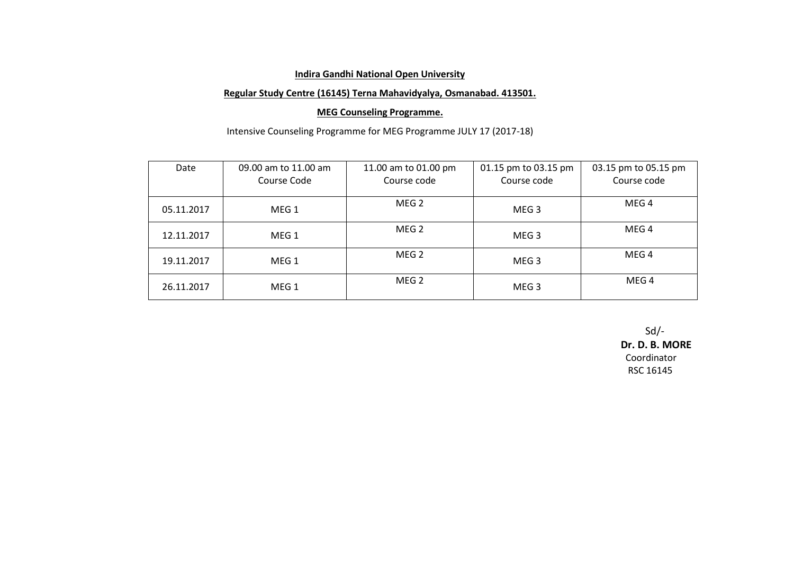## **Regular Study Centre (16145) Terna Mahavidyalya, Osmanabad. 413501.**

## **MEG Counseling Programme.**

Intensive Counseling Programme for MEG Programme JULY 17 (2017-18)

| Date       | 09.00 am to 11.00 am | 11.00 am to 01.00 pm | 01.15 pm to 03.15 pm | 03.15 pm to 05.15 pm |
|------------|----------------------|----------------------|----------------------|----------------------|
|            | Course Code          | Course code          | Course code          | Course code          |
| 05.11.2017 | MEG <sub>1</sub>     | MEG <sub>2</sub>     | MEG <sub>3</sub>     | MEG 4                |
| 12.11.2017 | MEG <sub>1</sub>     | MEG <sub>2</sub>     | MEG <sub>3</sub>     | MEG <sub>4</sub>     |
| 19.11.2017 | MEG <sub>1</sub>     | MEG 2                | MEG <sub>3</sub>     | MEG <sub>4</sub>     |
| 26.11.2017 | MEG 1                | MEG <sub>2</sub>     | MEG <sub>3</sub>     | MEG 4                |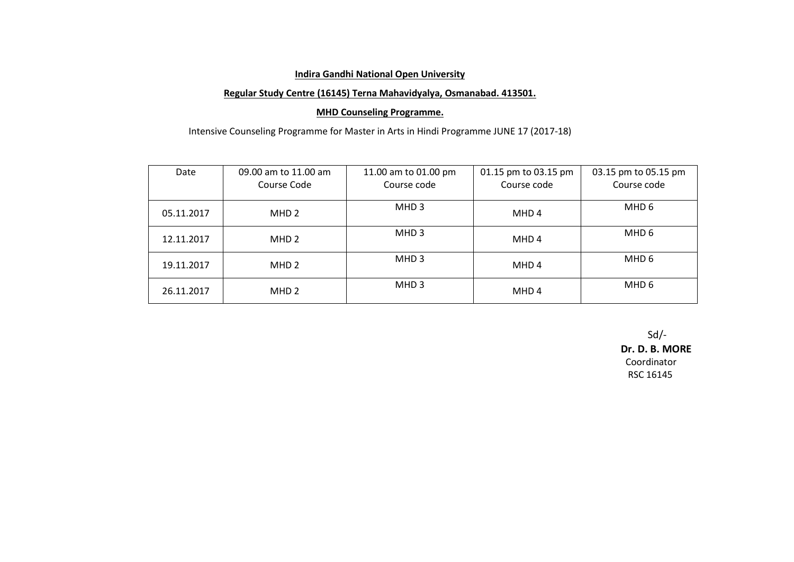## **Regular Study Centre (16145) Terna Mahavidyalya, Osmanabad. 413501.**

## **MHD Counseling Programme.**

Intensive Counseling Programme for Master in Arts in Hindi Programme JUNE 17 (2017-18)

| Date       | 09.00 am to 11.00 am<br>Course Code | 11.00 am to 01.00 pm<br>Course code | 01.15 pm to 03.15 pm<br>Course code | 03.15 pm to 05.15 pm<br>Course code |
|------------|-------------------------------------|-------------------------------------|-------------------------------------|-------------------------------------|
| 05.11.2017 | MHD <sub>2</sub>                    | MHD <sub>3</sub>                    | MHD 4                               | MHD 6                               |
| 12.11.2017 | MHD <sub>2</sub>                    | MHD <sub>3</sub>                    | MHD 4                               | MHD 6                               |
| 19.11.2017 | MHD <sub>2</sub>                    | MHD <sub>3</sub>                    | MHD 4                               | MHD 6                               |
| 26.11.2017 | MHD <sub>2</sub>                    | MHD <sub>3</sub>                    | MHD 4                               | MHD 6                               |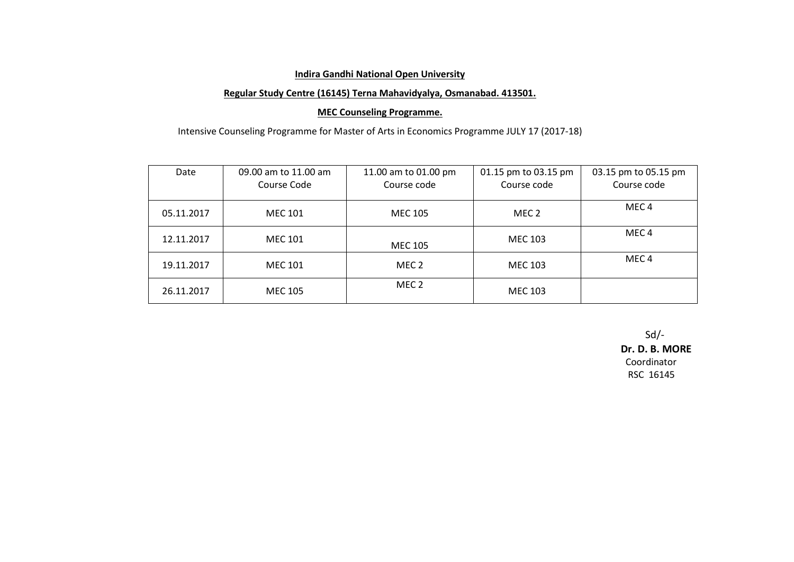## **Regular Study Centre (16145) Terna Mahavidyalya, Osmanabad. 413501.**

#### **MEC Counseling Programme.**

Intensive Counseling Programme for Master of Arts in Economics Programme JULY 17 (2017-18)

| Date       | 09.00 am to 11.00 am<br>Course Code | 11.00 am to 01.00 pm<br>Course code | 01.15 pm to 03.15 pm<br>Course code | 03.15 pm to 05.15 pm<br>Course code |
|------------|-------------------------------------|-------------------------------------|-------------------------------------|-------------------------------------|
| 05.11.2017 | <b>MEC 101</b>                      | MEC 105                             | MEC 2                               | MEC <sub>4</sub>                    |
| 12.11.2017 | MEC 101                             | MEC 105                             | MEC 103                             | MEC <sub>4</sub>                    |
| 19.11.2017 | MEC 101                             | MEC 2                               | <b>MEC 103</b>                      | MEC <sub>4</sub>                    |
| 26.11.2017 | MEC 105                             | MEC 2                               | <b>MEC 103</b>                      |                                     |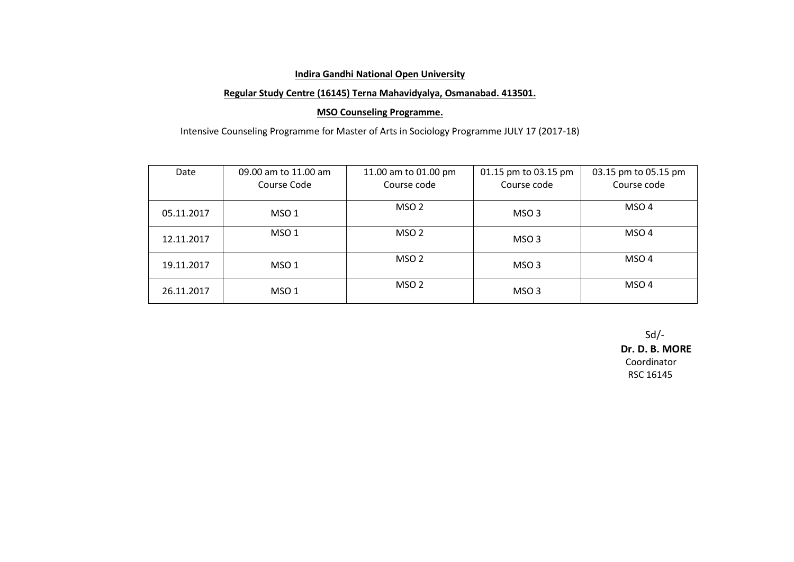## **Regular Study Centre (16145) Terna Mahavidyalya, Osmanabad. 413501.**

## **MSO Counseling Programme.**

Intensive Counseling Programme for Master of Arts in Sociology Programme JULY 17 (2017-18)

| Date       | 09.00 am to 11.00 am<br>Course Code | 11.00 am to 01.00 pm<br>Course code | 01.15 pm to 03.15 pm<br>Course code | 03.15 pm to 05.15 pm<br>Course code |
|------------|-------------------------------------|-------------------------------------|-------------------------------------|-------------------------------------|
| 05.11.2017 | MSO <sub>1</sub>                    | MSO <sub>2</sub>                    | MSO 3                               | MSO <sub>4</sub>                    |
| 12.11.2017 | MSO <sub>1</sub>                    | MSO <sub>2</sub>                    | MSO 3                               | MSO <sub>4</sub>                    |
| 19.11.2017 | MSO 1                               | MSO 2                               | MSO 3                               | MSO <sub>4</sub>                    |
| 26.11.2017 | MSO 1                               | MSO 2                               | MSO 3                               | MSO 4                               |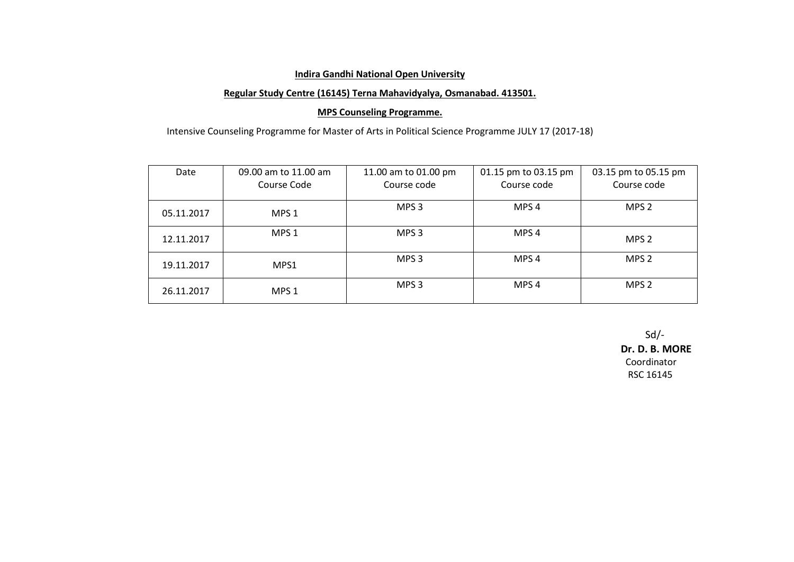## **Regular Study Centre (16145) Terna Mahavidyalya, Osmanabad. 413501.**

## **MPS Counseling Programme.**

Intensive Counseling Programme for Master of Arts in Political Science Programme JULY 17 (2017-18)

| Date       | 09.00 am to 11.00 am<br>Course Code | 11.00 am to 01.00 pm<br>Course code | 01.15 pm to 03.15 pm<br>Course code | 03.15 pm to 05.15 pm<br>Course code |
|------------|-------------------------------------|-------------------------------------|-------------------------------------|-------------------------------------|
| 05.11.2017 | MPS <sub>1</sub>                    | MPS 3                               | MPS <sub>4</sub>                    | MPS <sub>2</sub>                    |
| 12.11.2017 | MPS <sub>1</sub>                    | MPS <sub>3</sub>                    | MPS <sub>4</sub>                    | MPS <sub>2</sub>                    |
| 19.11.2017 | MPS1                                | MPS <sub>3</sub>                    | MPS <sub>4</sub>                    | MPS <sub>2</sub>                    |
| 26.11.2017 | MPS <sub>1</sub>                    | MPS 3                               | MPS <sub>4</sub>                    | MPS <sub>2</sub>                    |